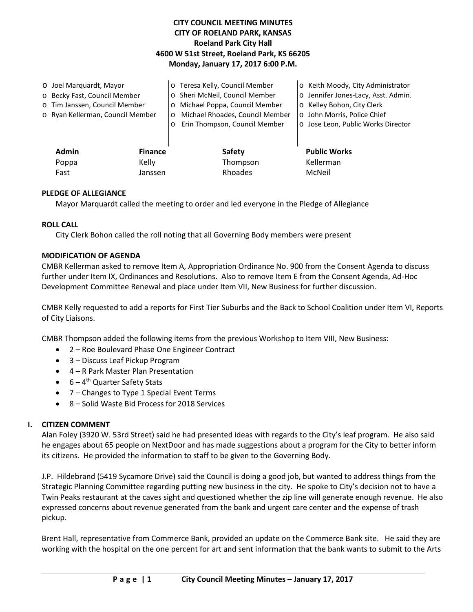# **CITY COUNCIL MEETING MINUTES CITY OF ROELAND PARK, KANSAS Roeland Park City Hall 4600 W 51st Street, Roeland Park, KS 66205 Monday, January 17, 2017 6:00 P.M.**

|                              | O Joel Marquardt, Mayor          |         | o Teresa Kelly, Council Member  | o Keith Moody, City Administrator   |
|------------------------------|----------------------------------|---------|---------------------------------|-------------------------------------|
| o Becky Fast, Council Member |                                  |         | o Sheri McNeil, Council Member  | o Jennifer Jones-Lacy, Asst. Admin. |
|                              | o Tim Janssen, Council Member    |         | o Michael Poppa, Council Member | o Kelley Bohon, City Clerk          |
|                              | o Ryan Kellerman, Council Member | $\circ$ | Michael Rhoades, Council Member | o John Morris, Police Chief         |
|                              |                                  | $\circ$ | Erin Thompson, Council Member   | o Jose Leon, Public Works Director  |
|                              |                                  |         |                                 |                                     |
|                              | Admin<br><b>Finance</b>          |         | <b>Safety</b>                   | <b>Public Works</b>                 |
|                              | Kelly<br>Poppa                   |         | Thompson                        | Kellerman                           |
|                              | Fast<br>Janssen                  |         | Rhoades                         | McNeil                              |
|                              |                                  |         |                                 |                                     |

### **PLEDGE OF ALLEGIANCE**

Mayor Marquardt called the meeting to order and led everyone in the Pledge of Allegiance

#### **ROLL CALL**

City Clerk Bohon called the roll noting that all Governing Body members were present

### **MODIFICATION OF AGENDA**

CMBR Kellerman asked to remove Item A, Appropriation Ordinance No. 900 from the Consent Agenda to discuss further under Item IX, Ordinances and Resolutions. Also to remove Item E from the Consent Agenda, Ad-Hoc Development Committee Renewal and place under Item VII, New Business for further discussion.

CMBR Kelly requested to add a reports for First Tier Suburbs and the Back to School Coalition under Item VI, Reports of City Liaisons.

CMBR Thompson added the following items from the previous Workshop to Item VIII, New Business:

- 2 Roe Boulevard Phase One Engineer Contract
- 3 Discuss Leaf Pickup Program
- 4 R Park Master Plan Presentation
- $\bullet$  6 4<sup>th</sup> Quarter Safety Stats
- 7 Changes to Type 1 Special Event Terms
- 8 Solid Waste Bid Process for 2018 Services

## **I. CITIZEN COMMENT**

Alan Foley (3920 W. 53rd Street) said he had presented ideas with regards to the City's leaf program. He also said he engages about 65 people on NextDoor and has made suggestions about a program for the City to better inform its citizens. He provided the information to staff to be given to the Governing Body.

J.P. Hildebrand (5419 Sycamore Drive) said the Council is doing a good job, but wanted to address things from the Strategic Planning Committee regarding putting new business in the city. He spoke to City's decision not to have a Twin Peaks restaurant at the caves sight and questioned whether the zip line will generate enough revenue. He also expressed concerns about revenue generated from the bank and urgent care center and the expense of trash pickup.

Brent Hall, representative from Commerce Bank, provided an update on the Commerce Bank site. He said they are working with the hospital on the one percent for art and sent information that the bank wants to submit to the Arts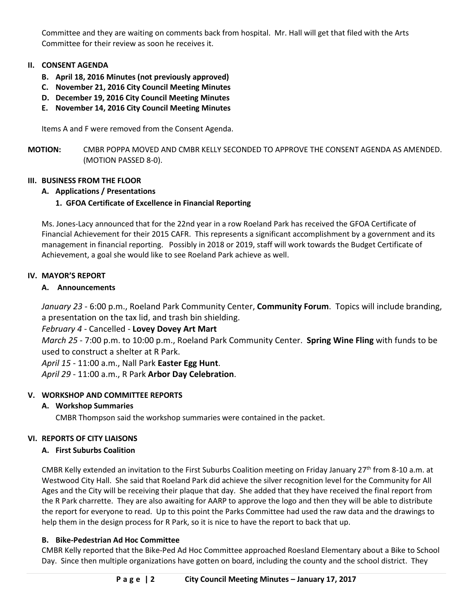Committee and they are waiting on comments back from hospital. Mr. Hall will get that filed with the Arts Committee for their review as soon he receives it.

## **II. CONSENT AGENDA**

- **B. April 18, 2016 Minutes (not previously approved)**
- **C. November 21, 2016 City Council Meeting Minutes**
- **D. December 19, 2016 City Council Meeting Minutes**
- **E. November 14, 2016 City Council Meeting Minutes**

Items A and F were removed from the Consent Agenda.

**MOTION:** CMBR POPPA MOVED AND CMBR KELLY SECONDED TO APPROVE THE CONSENT AGENDA AS AMENDED. (MOTION PASSED 8-0).

## **III. BUSINESS FROM THE FLOOR**

## **A. Applications / Presentations**

## **1. GFOA Certificate of Excellence in Financial Reporting**

Ms. Jones-Lacy announced that for the 22nd year in a row Roeland Park has received the GFOA Certificate of Financial Achievement for their 2015 CAFR. This represents a significant accomplishment by a government and its management in financial reporting. Possibly in 2018 or 2019, staff will work towards the Budget Certificate of Achievement, a goal she would like to see Roeland Park achieve as well.

### **IV. MAYOR'S REPORT**

### **A. Announcements**

*January 23* - 6:00 p.m., Roeland Park Community Center, **Community Forum**. Topics will include branding, a presentation on the tax lid, and trash bin shielding.

*February 4* - Cancelled - **Lovey Dovey Art Mart**

*March 25* - 7:00 p.m. to 10:00 p.m., Roeland Park Community Center. **Spring Wine Fling** with funds to be used to construct a shelter at R Park.

*April 15* - 11:00 a.m., Nall Park **Easter Egg Hunt**.

*April 29* - 11:00 a.m., R Park **Arbor Day Celebration**.

## **V. WORKSHOP AND COMMITTEE REPORTS**

## **A. Workshop Summaries**

CMBR Thompson said the workshop summaries were contained in the packet.

#### **VI. REPORTS OF CITY LIAISONS**

#### **A. First Suburbs Coalition**

CMBR Kelly extended an invitation to the First Suburbs Coalition meeting on Friday January  $27^{th}$  from 8-10 a.m. at Westwood City Hall. She said that Roeland Park did achieve the silver recognition level for the Community for All Ages and the City will be receiving their plaque that day. She added that they have received the final report from the R Park charrette. They are also awaiting for AARP to approve the logo and then they will be able to distribute the report for everyone to read. Up to this point the Parks Committee had used the raw data and the drawings to help them in the design process for R Park, so it is nice to have the report to back that up.

## **B. Bike-Pedestrian Ad Hoc Committee**

CMBR Kelly reported that the Bike-Ped Ad Hoc Committee approached Roesland Elementary about a Bike to School Day. Since then multiple organizations have gotten on board, including the county and the school district. They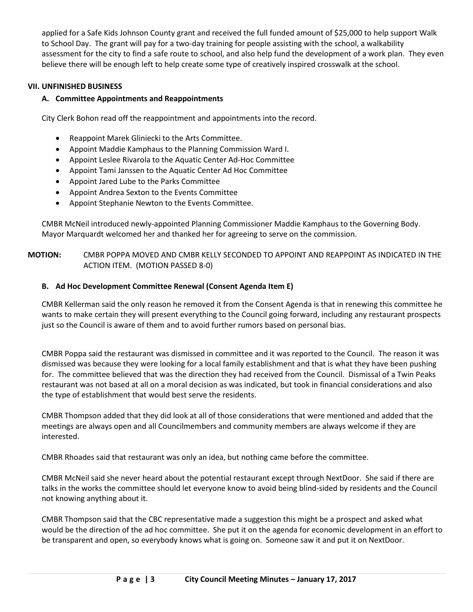applied for a Safe Kids Johnson County grant and received the full funded amount of \$25,000 to help support Walk to School Day. The grant will pay for a two-day training for people assisting with the school, a walkability assessment for the city to find a safe route to school, and also help fund the development of a work plan. They even believe there will be enough left to help create some type of creatively inspired crosswalk at the school.

## **VII. UNFINISHED BUSINESS**

### **A. Committee Appointments and Reappointments**

City Clerk Bohon read off the reappointment and appointments into the record.

- Reappoint Marek Gliniecki to the Arts Committee.
- Appoint Maddie Kamphaus to the Planning Commission Ward I.
- Appoint Leslee Rivarola to the Aquatic Center Ad-Hoc Committee
- Appoint Tami Janssen to the Aquatic Center Ad Hoc Committee
- Appoint Jared Lube to the Parks Committee
- Appoint Andrea Sexton to the Events Committee
- Appoint Stephanie Newton to the Events Committee.

CMBR McNeil introduced newly-appointed Planning Commissioner Maddie Kamphaus to the Governing Body. Mayor Marquardt welcomed her and thanked her for agreeing to serve on the commission.

## **MOTION:** CMBR POPPA MOVED AND CMBR KELLY SECONDED TO APPOINT AND REAPPOINT AS INDICATED IN THE ACTION ITEM. (MOTION PASSED 8-0)

#### **B. Ad Hoc Development Committee Renewal (Consent Agenda Item E)**

CMBR Kellerman said the only reason he removed it from the Consent Agenda is that in renewing this committee he wants to make certain they will present everything to the Council going forward, including any restaurant prospects just so the Council is aware of them and to avoid further rumors based on personal bias.

CMBR Poppa said the restaurant was dismissed in committee and it was reported to the Council. The reason it was dismissed was because they were looking for a local family establishment and that is what they have been pushing for. The committee believed that was the direction they had received from the Council. Dismissal of a Twin Peaks restaurant was not based at all on a moral decision as was indicated, but took in financial considerations and also the type of establishment that would best serve the residents.

CMBR Thompson added that they did look at all of those considerations that were mentioned and added that the meetings are always open and all Councilmembers and community members are always welcome if they are interested.

CMBR Rhoades said that restaurant was only an idea, but nothing came before the committee.

CMBR McNeil said she never heard about the potential restaurant except through NextDoor. She said if there are talks in the works the committee should let everyone know to avoid being blind-sided by residents and the Council not knowing anything about it.

CMBR Thompson said that the CBC representative made a suggestion this might be a prospect and asked what would be the direction of the ad hoc committee. She put it on the agenda for economic development in an effort to be transparent and open, so everybody knows what is going on. Someone saw it and put it on NextDoor.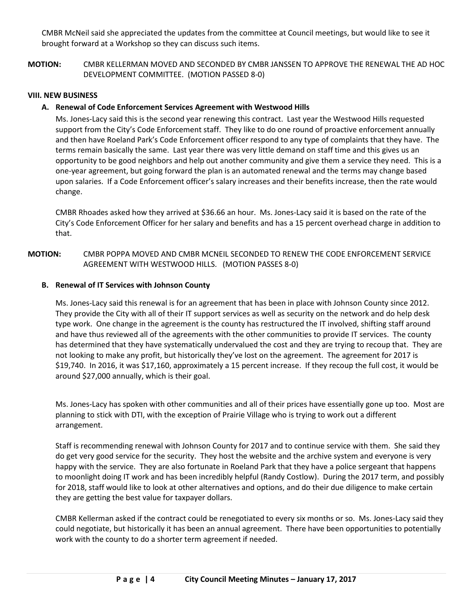CMBR McNeil said she appreciated the updates from the committee at Council meetings, but would like to see it brought forward at a Workshop so they can discuss such items.

**MOTION:** CMBR KELLERMAN MOVED AND SECONDED BY CMBR JANSSEN TO APPROVE THE RENEWAL THE AD HOC DEVELOPMENT COMMITTEE. (MOTION PASSED 8-0)

### **VIII. NEW BUSINESS**

### **A. Renewal of Code Enforcement Services Agreement with Westwood Hills**

Ms. Jones-Lacy said this is the second year renewing this contract. Last year the Westwood Hills requested support from the City's Code Enforcement staff. They like to do one round of proactive enforcement annually and then have Roeland Park's Code Enforcement officer respond to any type of complaints that they have. The terms remain basically the same. Last year there was very little demand on staff time and this gives us an opportunity to be good neighbors and help out another community and give them a service they need. This is a one-year agreement, but going forward the plan is an automated renewal and the terms may change based upon salaries. If a Code Enforcement officer's salary increases and their benefits increase, then the rate would change.

CMBR Rhoades asked how they arrived at \$36.66 an hour. Ms. Jones-Lacy said it is based on the rate of the City's Code Enforcement Officer for her salary and benefits and has a 15 percent overhead charge in addition to that.

## **MOTION:** CMBR POPPA MOVED AND CMBR MCNEIL SECONDED TO RENEW THE CODE ENFORCEMENT SERVICE AGREEMENT WITH WESTWOOD HILLS. (MOTION PASSES 8-0)

#### **B. Renewal of IT Services with Johnson County**

Ms. Jones-Lacy said this renewal is for an agreement that has been in place with Johnson County since 2012. They provide the City with all of their IT support services as well as security on the network and do help desk type work. One change in the agreement is the county has restructured the IT involved, shifting staff around and have thus reviewed all of the agreements with the other communities to provide IT services. The county has determined that they have systematically undervalued the cost and they are trying to recoup that. They are not looking to make any profit, but historically they've lost on the agreement. The agreement for 2017 is \$19,740. In 2016, it was \$17,160, approximately a 15 percent increase. If they recoup the full cost, it would be around \$27,000 annually, which is their goal.

Ms. Jones-Lacy has spoken with other communities and all of their prices have essentially gone up too. Most are planning to stick with DTI, with the exception of Prairie Village who is trying to work out a different arrangement.

Staff is recommending renewal with Johnson County for 2017 and to continue service with them. She said they do get very good service for the security. They host the website and the archive system and everyone is very happy with the service. They are also fortunate in Roeland Park that they have a police sergeant that happens to moonlight doing IT work and has been incredibly helpful (Randy Costlow). During the 2017 term, and possibly for 2018, staff would like to look at other alternatives and options, and do their due diligence to make certain they are getting the best value for taxpayer dollars.

CMBR Kellerman asked if the contract could be renegotiated to every six months or so. Ms. Jones-Lacy said they could negotiate, but historically it has been an annual agreement. There have been opportunities to potentially work with the county to do a shorter term agreement if needed.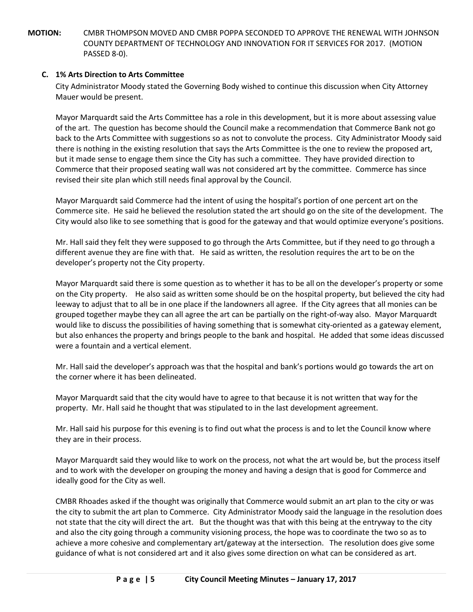**MOTION:** CMBR THOMPSON MOVED AND CMBR POPPA SECONDED TO APPROVE THE RENEWAL WITH JOHNSON COUNTY DEPARTMENT OF TECHNOLOGY AND INNOVATION FOR IT SERVICES FOR 2017. (MOTION PASSED 8-0).

## **C. 1% Arts Direction to Arts Committee**

City Administrator Moody stated the Governing Body wished to continue this discussion when City Attorney Mauer would be present.

Mayor Marquardt said the Arts Committee has a role in this development, but it is more about assessing value of the art. The question has become should the Council make a recommendation that Commerce Bank not go back to the Arts Committee with suggestions so as not to convolute the process. City Administrator Moody said there is nothing in the existing resolution that says the Arts Committee is the one to review the proposed art, but it made sense to engage them since the City has such a committee. They have provided direction to Commerce that their proposed seating wall was not considered art by the committee. Commerce has since revised their site plan which still needs final approval by the Council.

Mayor Marquardt said Commerce had the intent of using the hospital's portion of one percent art on the Commerce site. He said he believed the resolution stated the art should go on the site of the development. The City would also like to see something that is good for the gateway and that would optimize everyone's positions.

Mr. Hall said they felt they were supposed to go through the Arts Committee, but if they need to go through a different avenue they are fine with that. He said as written, the resolution requires the art to be on the developer's property not the City property.

Mayor Marquardt said there is some question as to whether it has to be all on the developer's property or some on the City property. He also said as written some should be on the hospital property, but believed the city had leeway to adjust that to all be in one place if the landowners all agree. If the City agrees that all monies can be grouped together maybe they can all agree the art can be partially on the right-of-way also. Mayor Marquardt would like to discuss the possibilities of having something that is somewhat city-oriented as a gateway element, but also enhances the property and brings people to the bank and hospital. He added that some ideas discussed were a fountain and a vertical element.

Mr. Hall said the developer's approach was that the hospital and bank's portions would go towards the art on the corner where it has been delineated.

Mayor Marquardt said that the city would have to agree to that because it is not written that way for the property. Mr. Hall said he thought that was stipulated to in the last development agreement.

Mr. Hall said his purpose for this evening is to find out what the process is and to let the Council know where they are in their process.

Mayor Marquardt said they would like to work on the process, not what the art would be, but the process itself and to work with the developer on grouping the money and having a design that is good for Commerce and ideally good for the City as well.

CMBR Rhoades asked if the thought was originally that Commerce would submit an art plan to the city or was the city to submit the art plan to Commerce. City Administrator Moody said the language in the resolution does not state that the city will direct the art. But the thought was that with this being at the entryway to the city and also the city going through a community visioning process, the hope was to coordinate the two so as to achieve a more cohesive and complementary art/gateway at the intersection. The resolution does give some guidance of what is not considered art and it also gives some direction on what can be considered as art.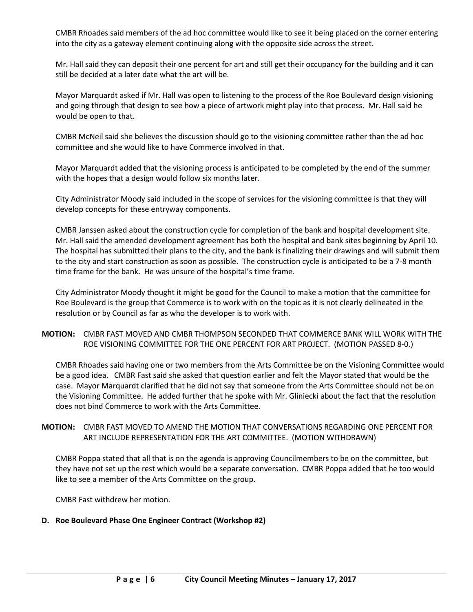CMBR Rhoades said members of the ad hoc committee would like to see it being placed on the corner entering into the city as a gateway element continuing along with the opposite side across the street.

Mr. Hall said they can deposit their one percent for art and still get their occupancy for the building and it can still be decided at a later date what the art will be.

Mayor Marquardt asked if Mr. Hall was open to listening to the process of the Roe Boulevard design visioning and going through that design to see how a piece of artwork might play into that process. Mr. Hall said he would be open to that.

CMBR McNeil said she believes the discussion should go to the visioning committee rather than the ad hoc committee and she would like to have Commerce involved in that.

Mayor Marquardt added that the visioning process is anticipated to be completed by the end of the summer with the hopes that a design would follow six months later.

City Administrator Moody said included in the scope of services for the visioning committee is that they will develop concepts for these entryway components.

CMBR Janssen asked about the construction cycle for completion of the bank and hospital development site. Mr. Hall said the amended development agreement has both the hospital and bank sites beginning by April 10. The hospital has submitted their plans to the city, and the bank is finalizing their drawings and will submit them to the city and start construction as soon as possible. The construction cycle is anticipated to be a 7-8 month time frame for the bank. He was unsure of the hospital's time frame.

City Administrator Moody thought it might be good for the Council to make a motion that the committee for Roe Boulevard is the group that Commerce is to work with on the topic as it is not clearly delineated in the resolution or by Council as far as who the developer is to work with.

### **MOTION:** CMBR FAST MOVED AND CMBR THOMPSON SECONDED THAT COMMERCE BANK WILL WORK WITH THE ROE VISIONING COMMITTEE FOR THE ONE PERCENT FOR ART PROJECT. (MOTION PASSED 8-0.)

CMBR Rhoades said having one or two members from the Arts Committee be on the Visioning Committee would be a good idea. CMBR Fast said she asked that question earlier and felt the Mayor stated that would be the case. Mayor Marquardt clarified that he did not say that someone from the Arts Committee should not be on the Visioning Committee. He added further that he spoke with Mr. Gliniecki about the fact that the resolution does not bind Commerce to work with the Arts Committee.

### **MOTION:** CMBR FAST MOVED TO AMEND THE MOTION THAT CONVERSATIONS REGARDING ONE PERCENT FOR ART INCLUDE REPRESENTATION FOR THE ART COMMITTEE. (MOTION WITHDRAWN)

CMBR Poppa stated that all that is on the agenda is approving Councilmembers to be on the committee, but they have not set up the rest which would be a separate conversation. CMBR Poppa added that he too would like to see a member of the Arts Committee on the group.

CMBR Fast withdrew her motion.

## **D. Roe Boulevard Phase One Engineer Contract (Workshop #2)**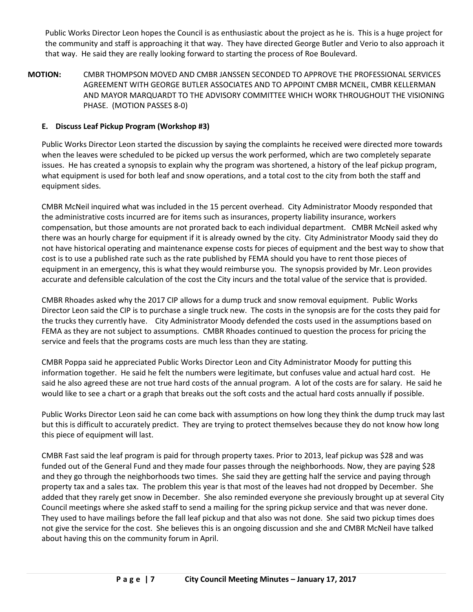Public Works Director Leon hopes the Council is as enthusiastic about the project as he is. This is a huge project for the community and staff is approaching it that way. They have directed George Butler and Verio to also approach it that way. He said they are really looking forward to starting the process of Roe Boulevard.

**MOTION:** CMBR THOMPSON MOVED AND CMBR JANSSEN SECONDED TO APPROVE THE PROFESSIONAL SERVICES AGREEMENT WITH GEORGE BUTLER ASSOCIATES AND TO APPOINT CMBR MCNEIL, CMBR KELLERMAN AND MAYOR MARQUARDT TO THE ADVISORY COMMITTEE WHICH WORK THROUGHOUT THE VISIONING PHASE. (MOTION PASSES 8-0)

## **E. Discuss Leaf Pickup Program (Workshop #3)**

Public Works Director Leon started the discussion by saying the complaints he received were directed more towards when the leaves were scheduled to be picked up versus the work performed, which are two completely separate issues. He has created a synopsis to explain why the program was shortened, a history of the leaf pickup program, what equipment is used for both leaf and snow operations, and a total cost to the city from both the staff and equipment sides.

CMBR McNeil inquired what was included in the 15 percent overhead. City Administrator Moody responded that the administrative costs incurred are for items such as insurances, property liability insurance, workers compensation, but those amounts are not prorated back to each individual department. CMBR McNeil asked why there was an hourly charge for equipment if it is already owned by the city. City Administrator Moody said they do not have historical operating and maintenance expense costs for pieces of equipment and the best way to show that cost is to use a published rate such as the rate published by FEMA should you have to rent those pieces of equipment in an emergency, this is what they would reimburse you. The synopsis provided by Mr. Leon provides accurate and defensible calculation of the cost the City incurs and the total value of the service that is provided.

CMBR Rhoades asked why the 2017 CIP allows for a dump truck and snow removal equipment. Public Works Director Leon said the CIP is to purchase a single truck new. The costs in the synopsis are for the costs they paid for the trucks they currently have. City Administrator Moody defended the costs used in the assumptions based on FEMA as they are not subject to assumptions. CMBR Rhoades continued to question the process for pricing the service and feels that the programs costs are much less than they are stating.

CMBR Poppa said he appreciated Public Works Director Leon and City Administrator Moody for putting this information together. He said he felt the numbers were legitimate, but confuses value and actual hard cost. He said he also agreed these are not true hard costs of the annual program. A lot of the costs are for salary. He said he would like to see a chart or a graph that breaks out the soft costs and the actual hard costs annually if possible.

Public Works Director Leon said he can come back with assumptions on how long they think the dump truck may last but this is difficult to accurately predict. They are trying to protect themselves because they do not know how long this piece of equipment will last.

CMBR Fast said the leaf program is paid for through property taxes. Prior to 2013, leaf pickup was \$28 and was funded out of the General Fund and they made four passes through the neighborhoods. Now, they are paying \$28 and they go through the neighborhoods two times. She said they are getting half the service and paying through property tax and a sales tax. The problem this year is that most of the leaves had not dropped by December. She added that they rarely get snow in December. She also reminded everyone she previously brought up at several City Council meetings where she asked staff to send a mailing for the spring pickup service and that was never done. They used to have mailings before the fall leaf pickup and that also was not done. She said two pickup times does not give the service for the cost. She believes this is an ongoing discussion and she and CMBR McNeil have talked about having this on the community forum in April.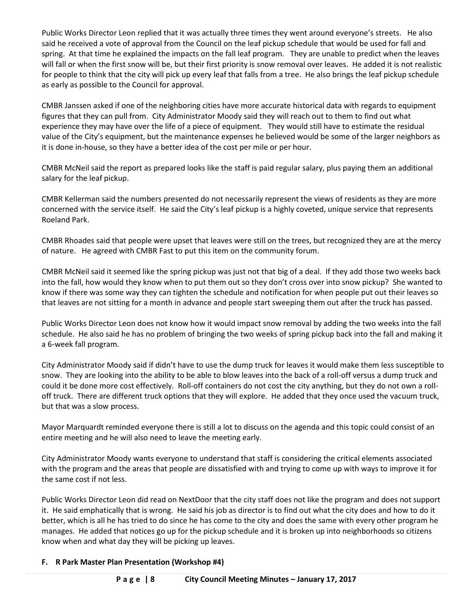Public Works Director Leon replied that it was actually three times they went around everyone's streets. He also said he received a vote of approval from the Council on the leaf pickup schedule that would be used for fall and spring. At that time he explained the impacts on the fall leaf program. They are unable to predict when the leaves will fall or when the first snow will be, but their first priority is snow removal over leaves. He added it is not realistic for people to think that the city will pick up every leaf that falls from a tree. He also brings the leaf pickup schedule as early as possible to the Council for approval.

CMBR Janssen asked if one of the neighboring cities have more accurate historical data with regards to equipment figures that they can pull from. City Administrator Moody said they will reach out to them to find out what experience they may have over the life of a piece of equipment. They would still have to estimate the residual value of the City's equipment, but the maintenance expenses he believed would be some of the larger neighbors as it is done in-house, so they have a better idea of the cost per mile or per hour.

CMBR McNeil said the report as prepared looks like the staff is paid regular salary, plus paying them an additional salary for the leaf pickup.

CMBR Kellerman said the numbers presented do not necessarily represent the views of residents as they are more concerned with the service itself. He said the City's leaf pickup is a highly coveted, unique service that represents Roeland Park.

CMBR Rhoades said that people were upset that leaves were still on the trees, but recognized they are at the mercy of nature. He agreed with CMBR Fast to put this item on the community forum.

CMBR McNeil said it seemed like the spring pickup was just not that big of a deal. If they add those two weeks back into the fall, how would they know when to put them out so they don't cross over into snow pickup? She wanted to know if there was some way they can tighten the schedule and notification for when people put out their leaves so that leaves are not sitting for a month in advance and people start sweeping them out after the truck has passed.

Public Works Director Leon does not know how it would impact snow removal by adding the two weeks into the fall schedule. He also said he has no problem of bringing the two weeks of spring pickup back into the fall and making it a 6-week fall program.

City Administrator Moody said if didn't have to use the dump truck for leaves it would make them less susceptible to snow. They are looking into the ability to be able to blow leaves into the back of a roll-off versus a dump truck and could it be done more cost effectively. Roll-off containers do not cost the city anything, but they do not own a rolloff truck. There are different truck options that they will explore. He added that they once used the vacuum truck, but that was a slow process.

Mayor Marquardt reminded everyone there is still a lot to discuss on the agenda and this topic could consist of an entire meeting and he will also need to leave the meeting early.

City Administrator Moody wants everyone to understand that staff is considering the critical elements associated with the program and the areas that people are dissatisfied with and trying to come up with ways to improve it for the same cost if not less.

Public Works Director Leon did read on NextDoor that the city staff does not like the program and does not support it. He said emphatically that is wrong. He said his job as director is to find out what the city does and how to do it better, which is all he has tried to do since he has come to the city and does the same with every other program he manages. He added that notices go up for the pickup schedule and it is broken up into neighborhoods so citizens know when and what day they will be picking up leaves.

## **F. R Park Master Plan Presentation (Workshop #4)**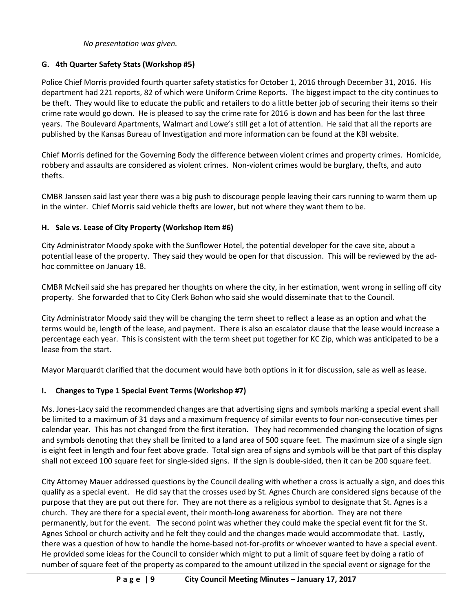### *No presentation was given.*

# **G. 4th Quarter Safety Stats (Workshop #5)**

Police Chief Morris provided fourth quarter safety statistics for October 1, 2016 through December 31, 2016. His department had 221 reports, 82 of which were Uniform Crime Reports. The biggest impact to the city continues to be theft. They would like to educate the public and retailers to do a little better job of securing their items so their crime rate would go down. He is pleased to say the crime rate for 2016 is down and has been for the last three years. The Boulevard Apartments, Walmart and Lowe's still get a lot of attention. He said that all the reports are published by the Kansas Bureau of Investigation and more information can be found at the KBI website.

Chief Morris defined for the Governing Body the difference between violent crimes and property crimes. Homicide, robbery and assaults are considered as violent crimes. Non-violent crimes would be burglary, thefts, and auto thefts.

CMBR Janssen said last year there was a big push to discourage people leaving their cars running to warm them up in the winter. Chief Morris said vehicle thefts are lower, but not where they want them to be.

## **H. Sale vs. Lease of City Property (Workshop Item #6)**

City Administrator Moody spoke with the Sunflower Hotel, the potential developer for the cave site, about a potential lease of the property. They said they would be open for that discussion. This will be reviewed by the adhoc committee on January 18.

CMBR McNeil said she has prepared her thoughts on where the city, in her estimation, went wrong in selling off city property. She forwarded that to City Clerk Bohon who said she would disseminate that to the Council.

City Administrator Moody said they will be changing the term sheet to reflect a lease as an option and what the terms would be, length of the lease, and payment. There is also an escalator clause that the lease would increase a percentage each year. This is consistent with the term sheet put together for KC Zip, which was anticipated to be a lease from the start.

Mayor Marquardt clarified that the document would have both options in it for discussion, sale as well as lease.

# **I. Changes to Type 1 Special Event Terms (Workshop #7)**

Ms. Jones-Lacy said the recommended changes are that advertising signs and symbols marking a special event shall be limited to a maximum of 31 days and a maximum frequency of similar events to four non-consecutive times per calendar year. This has not changed from the first iteration. They had recommended changing the location of signs and symbols denoting that they shall be limited to a land area of 500 square feet. The maximum size of a single sign is eight feet in length and four feet above grade. Total sign area of signs and symbols will be that part of this display shall not exceed 100 square feet for single-sided signs. If the sign is double-sided, then it can be 200 square feet.

City Attorney Mauer addressed questions by the Council dealing with whether a cross is actually a sign, and does this qualify as a special event. He did say that the crosses used by St. Agnes Church are considered signs because of the purpose that they are put out there for. They are not there as a religious symbol to designate that St. Agnes is a church. They are there for a special event, their month-long awareness for abortion. They are not there permanently, but for the event. The second point was whether they could make the special event fit for the St. Agnes School or church activity and he felt they could and the changes made would accommodate that. Lastly, there was a question of how to handle the home-based not-for-profits or whoever wanted to have a special event. He provided some ideas for the Council to consider which might to put a limit of square feet by doing a ratio of number of square feet of the property as compared to the amount utilized in the special event or signage for the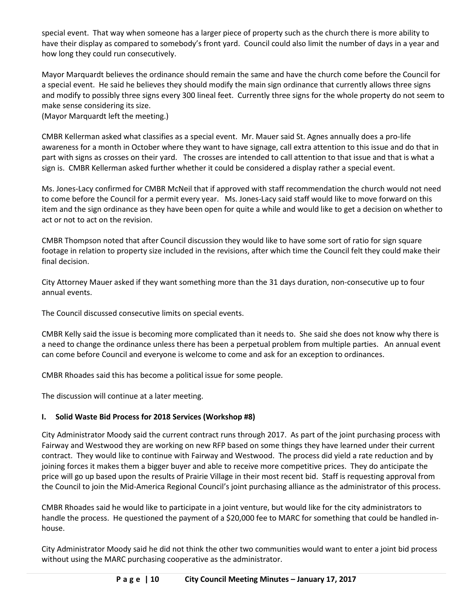special event. That way when someone has a larger piece of property such as the church there is more ability to have their display as compared to somebody's front yard. Council could also limit the number of days in a year and how long they could run consecutively.

Mayor Marquardt believes the ordinance should remain the same and have the church come before the Council for a special event. He said he believes they should modify the main sign ordinance that currently allows three signs and modify to possibly three signs every 300 lineal feet. Currently three signs for the whole property do not seem to make sense considering its size.

(Mayor Marquardt left the meeting.)

CMBR Kellerman asked what classifies as a special event. Mr. Mauer said St. Agnes annually does a pro-life awareness for a month in October where they want to have signage, call extra attention to this issue and do that in part with signs as crosses on their yard. The crosses are intended to call attention to that issue and that is what a sign is. CMBR Kellerman asked further whether it could be considered a display rather a special event.

Ms. Jones-Lacy confirmed for CMBR McNeil that if approved with staff recommendation the church would not need to come before the Council for a permit every year. Ms. Jones-Lacy said staff would like to move forward on this item and the sign ordinance as they have been open for quite a while and would like to get a decision on whether to act or not to act on the revision.

CMBR Thompson noted that after Council discussion they would like to have some sort of ratio for sign square footage in relation to property size included in the revisions, after which time the Council felt they could make their final decision.

City Attorney Mauer asked if they want something more than the 31 days duration, non-consecutive up to four annual events.

The Council discussed consecutive limits on special events.

CMBR Kelly said the issue is becoming more complicated than it needs to. She said she does not know why there is a need to change the ordinance unless there has been a perpetual problem from multiple parties. An annual event can come before Council and everyone is welcome to come and ask for an exception to ordinances.

CMBR Rhoades said this has become a political issue for some people.

The discussion will continue at a later meeting.

# **I. Solid Waste Bid Process for 2018 Services (Workshop #8)**

City Administrator Moody said the current contract runs through 2017. As part of the joint purchasing process with Fairway and Westwood they are working on new RFP based on some things they have learned under their current contract. They would like to continue with Fairway and Westwood. The process did yield a rate reduction and by joining forces it makes them a bigger buyer and able to receive more competitive prices. They do anticipate the price will go up based upon the results of Prairie Village in their most recent bid. Staff is requesting approval from the Council to join the Mid-America Regional Council's joint purchasing alliance as the administrator of this process.

CMBR Rhoades said he would like to participate in a joint venture, but would like for the city administrators to handle the process. He questioned the payment of a \$20,000 fee to MARC for something that could be handled inhouse.

City Administrator Moody said he did not think the other two communities would want to enter a joint bid process without using the MARC purchasing cooperative as the administrator.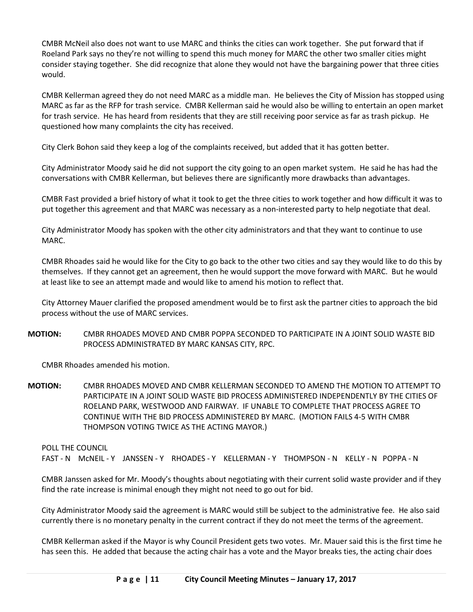CMBR McNeil also does not want to use MARC and thinks the cities can work together. She put forward that if Roeland Park says no they're not willing to spend this much money for MARC the other two smaller cities might consider staying together. She did recognize that alone they would not have the bargaining power that three cities would.

CMBR Kellerman agreed they do not need MARC as a middle man. He believes the City of Mission has stopped using MARC as far as the RFP for trash service. CMBR Kellerman said he would also be willing to entertain an open market for trash service. He has heard from residents that they are still receiving poor service as far as trash pickup. He questioned how many complaints the city has received.

City Clerk Bohon said they keep a log of the complaints received, but added that it has gotten better.

City Administrator Moody said he did not support the city going to an open market system. He said he has had the conversations with CMBR Kellerman, but believes there are significantly more drawbacks than advantages.

CMBR Fast provided a brief history of what it took to get the three cities to work together and how difficult it was to put together this agreement and that MARC was necessary as a non-interested party to help negotiate that deal.

City Administrator Moody has spoken with the other city administrators and that they want to continue to use MARC.

CMBR Rhoades said he would like for the City to go back to the other two cities and say they would like to do this by themselves. If they cannot get an agreement, then he would support the move forward with MARC. But he would at least like to see an attempt made and would like to amend his motion to reflect that.

City Attorney Mauer clarified the proposed amendment would be to first ask the partner cities to approach the bid process without the use of MARC services.

**MOTION:** CMBR RHOADES MOVED AND CMBR POPPA SECONDED TO PARTICIPATE IN A JOINT SOLID WASTE BID PROCESS ADMINISTRATED BY MARC KANSAS CITY, RPC.

CMBR Rhoades amended his motion.

**MOTION:** CMBR RHOADES MOVED AND CMBR KELLERMAN SECONDED TO AMEND THE MOTION TO ATTEMPT TO PARTICIPATE IN A JOINT SOLID WASTE BID PROCESS ADMINISTERED INDEPENDENTLY BY THE CITIES OF ROELAND PARK, WESTWOOD AND FAIRWAY. IF UNABLE TO COMPLETE THAT PROCESS AGREE TO CONTINUE WITH THE BID PROCESS ADMINISTERED BY MARC. (MOTION FAILS 4-5 WITH CMBR THOMPSON VOTING TWICE AS THE ACTING MAYOR.)

#### POLL THE COUNCIL

FAST - N MCNEIL - Y JANSSEN - Y RHOADES - Y KELLERMAN - Y THOMPSON - N KELLY - N POPPA - N

CMBR Janssen asked for Mr. Moody's thoughts about negotiating with their current solid waste provider and if they find the rate increase is minimal enough they might not need to go out for bid.

City Administrator Moody said the agreement is MARC would still be subject to the administrative fee. He also said currently there is no monetary penalty in the current contract if they do not meet the terms of the agreement.

CMBR Kellerman asked if the Mayor is why Council President gets two votes. Mr. Mauer said this is the first time he has seen this. He added that because the acting chair has a vote and the Mayor breaks ties, the acting chair does